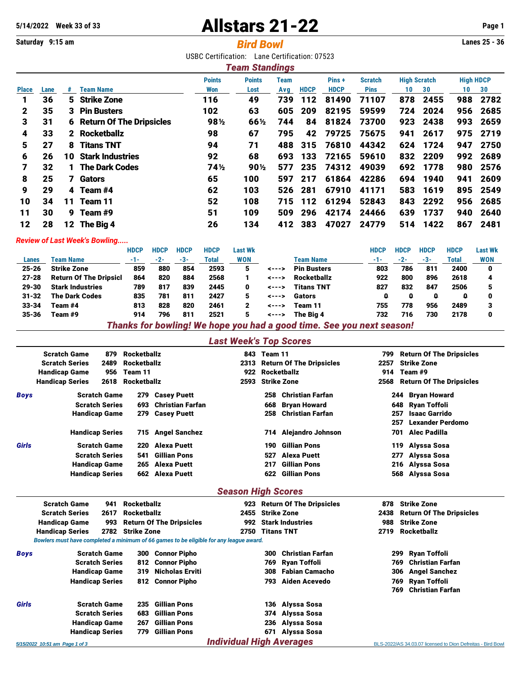# **Allstars 21-22** Week 33 of 33 Page 1

# **Saturday 9:15 am** *Bird Bowl* **Lanes 25 - 36**

USBC Certification: Lane Certification: 07523

|              |      |    |                                   |               | <b>Team Standings</b> |      |             |             |                |                     |          |                  |      |
|--------------|------|----|-----------------------------------|---------------|-----------------------|------|-------------|-------------|----------------|---------------------|----------|------------------|------|
|              |      |    |                                   | <b>Points</b> | <b>Points</b>         | Team |             | Pins+       | <b>Scratch</b> | <b>High Scratch</b> |          | <b>High HDCP</b> |      |
| <b>Place</b> | Lane | #  | <b>Team Name</b>                  | Won           | Lost                  | Avg  | <b>HDCP</b> | <b>HDCP</b> | <b>Pins</b>    | 10                  | 30       | 10               | 30   |
| 1            | 36   | 5. | <b>Strike Zone</b>                | 116           | 49                    | 739  | 112         | 81490       | 71107          | 878                 | 2455     | 988              | 2782 |
| $\mathbf{2}$ | 35   |    | 3 Pin Busters                     | 102           | 63                    | 605  | 209         | 82195       | 59599          | 724                 | 2024     | 956              | 2685 |
| 3            | 31   |    | <b>6 Return Of The Dripsicles</b> | 98½           | 66½                   | 744  | 84          | 81824       | 73700          | 923                 | 2438     | 993              | 2659 |
| 4            | 33   |    | 2 Rocketballz                     | 98            | 67                    | 795  | 42          | 79725       | 75675          | 941                 | 2617     | 975              | 2719 |
| 5            | 27   | 8  | <b>Titans TNT</b>                 | 94            | 71                    | 488  | 315         | 76810       | 44342          | 624                 | 1724     | 947              | 2750 |
| 6            | 26   | 10 | <b>Stark Industries</b>           | 92            | 68                    | 693  | 133         | 72165       | 59610          |                     | 832 2209 | 992              | 2689 |
| 7            | 32   |    | 1 The Dark Codes                  | 74½           | $90\%$                | 577  | 235         | 74312       | 49039          | 692                 | 1778     | 980              | 2576 |
| 8            | 25   |    | 7 Gators                          | 65            | 100                   | 597  | 217         | 61864       | 42286          | 694                 | 1940     | 941              | 2609 |
| 9            | 29   |    | 4 Team #4                         | 62            | 103                   | 526  | 281         | 67910       | 41171          | 583                 | 1619     | 895              | 2549 |
| 10           | 34   | 11 | Team 11                           | 52            | 108                   | 715  | 112         | 61294       | 52843          | 843                 | 2292     | 956              | 2685 |
| 11           | 30   | 9. | Team #9                           | 51            | 109                   | 509  | 296         | 42174       | 24466          | 639                 | 1737     | 940              | 2640 |
| 12           | 28   |    | 12 The Big 4                      | 26            | 134                   | 412  | 383         | 47027       | 24779          | 514                 | 1422     | 867              | 2481 |

#### *Review of Last Week's Bowling.....*

|           |                                                                       | <b>HDCP</b> | <b>HDCP</b> | <b>HDCP</b> | <b>HDCP</b> | Last Wk    |                |                    | HDCP | <b>HDCP</b> | <b>HDCP</b> | <b>HDCP</b> | <b>Last Wk</b> |  |
|-----------|-----------------------------------------------------------------------|-------------|-------------|-------------|-------------|------------|----------------|--------------------|------|-------------|-------------|-------------|----------------|--|
| Lanes     | <b>Team Name</b>                                                      | $-1-$       | $-2-$       | $-3-$       | Total       | <b>WON</b> |                | Team Name          | -1-  | $-2-$       | $-3-$       | Total       | <b>WON</b>     |  |
| $25 - 26$ | <b>Strike Zone</b>                                                    | 859         | 880         | 854         | 2593        | 5          | <--->          | <b>Pin Busters</b> | 803  | 786         | 811         | 2400        | 0              |  |
| $27 - 28$ | <b>Return Of The Dripsicl</b>                                         | 864         | 820         | 884         | 2568        |            | $\leftarrow -$ | <b>Rocketballz</b> | 922  | 800         | 896         | 2618        |                |  |
| 29-30     | <b>Stark Industries</b>                                               | 789         | 817         | 839         | 2445        | 0          | $\leftarrow -$ | <b>Titans TNT</b>  | 827  | 832         | 847         | 2506        |                |  |
| $31 - 32$ | <b>The Dark Codes</b>                                                 | 835         | 781         | 811         | 2427        | 5          | <--->          | Gators             | ۵    | Q           | Ω           | a           | 0              |  |
| $33 - 34$ | Team #4                                                               | 813         | 828         | 820         | 2461        | 2          | $\leftarrow -$ | Team 11            | 755  | 778         | 956         | 2489        |                |  |
| 35-36     | Team #9                                                               | 914         | 796         | 811         | 2521        | 5          | <--->          | The Bia 4          | 732  | 716         | 730         | 2178        | 0              |  |
|           | Thanks for bowling! We hope you had a good time. See you next season! |             |             |             |             |            |                |                    |      |             |             |             |                |  |

### *Last Week's Top Scores*

|             | <b>Scratch Game</b><br><b>Rocketballz</b><br>879 |      |                    | 843                     | Team 11                   |     | 799                             | <b>Return Of The Dripsicles</b> |                                 |  |  |  |  |
|-------------|--------------------------------------------------|------|--------------------|-------------------------|---------------------------|-----|---------------------------------|---------------------------------|---------------------------------|--|--|--|--|
|             | <b>Scratch Series</b>                            | 2489 | <b>Rocketballz</b> |                         | 2313                      |     | <b>Return Of The Dripsicles</b> | 2257                            | <b>Strike Zone</b>              |  |  |  |  |
|             | <b>Handicap Game</b>                             | 956  | Team 11            |                         | 922                       |     | Rocketballz                     | 914                             | Team #9                         |  |  |  |  |
|             | <b>Handicap Series</b>                           | 2618 | <b>Rocketballz</b> |                         | 2593                      |     | <b>Strike Zone</b>              | 2568                            | <b>Return Of The Dripsicles</b> |  |  |  |  |
| <b>Boys</b> | <b>Scratch Game</b>                              |      | 279                | <b>Casey Puett</b>      |                           | 258 | <b>Christian Farfan</b>         |                                 | <b>Bryan Howard</b><br>244      |  |  |  |  |
|             | <b>Scratch Series</b>                            |      | 693                | <b>Christian Farfan</b> |                           | 668 | <b>Bryan Howard</b>             |                                 | Ryan Toffoli<br>648             |  |  |  |  |
|             | <b>Handicap Game</b>                             |      | 279                | <b>Casey Puett</b>      |                           | 258 | <b>Christian Farfan</b>         |                                 | <b>Isaac Garrido</b><br>257     |  |  |  |  |
|             |                                                  |      |                    |                         |                           |     |                                 | 257                             | <b>Lexander Perdomo</b>         |  |  |  |  |
|             | <b>Handicap Series</b>                           |      |                    | 715 Angel Sanchez       |                           | 714 | Alejandro Johnson               |                                 | Alec Padilla<br>701             |  |  |  |  |
| Girls       | <b>Scratch Game</b>                              |      | 220                | Alexa Puett             |                           | 190 | Gillian Pons                    |                                 | Alyssa Sosa<br>119              |  |  |  |  |
|             | <b>Scratch Series</b>                            |      | 541                | Gillian Pons            |                           | 527 | <b>Alexa Puett</b>              |                                 | Alyssa Sosa<br>277              |  |  |  |  |
|             | <b>Handicap Game</b>                             |      | 265                | Alexa Puett             |                           | 217 | <b>Gillian Pons</b>             |                                 | Alyssa Sosa<br>216              |  |  |  |  |
|             | <b>Handicap Series</b>                           |      |                    | 662 Alexa Puett         |                           | 622 | <b>Gillian Pons</b>             |                                 | Alyssa Sosa<br>568              |  |  |  |  |
|             |                                                  |      |                    |                         | <b>Season High Scores</b> |     |                                 |                                 |                                 |  |  |  |  |
|             | <b>Scratch Game</b>                              | 941  | <b>Rocketballz</b> |                         | 923                       |     | <b>Return Of The Dripsicles</b> | 878                             | <b>Strike Zone</b>              |  |  |  |  |

| <b>Scratch Series</b><br>2617 |                                                                                        | Rocketballz           |     |                                 |                                 | 2455 Strike Zone | 2438                    | <b>Return Of The Dripsicles</b> |                                                             |  |  |  |
|-------------------------------|----------------------------------------------------------------------------------------|-----------------------|-----|---------------------------------|---------------------------------|------------------|-------------------------|---------------------------------|-------------------------------------------------------------|--|--|--|
|                               | <b>Handicap Game</b>                                                                   | 993                   |     | <b>Return Of The Dripsicles</b> |                                 |                  | 992 Stark Industries    | 988                             | <b>Strike Zone</b>                                          |  |  |  |
|                               | 2782 Strike Zone<br><b>Handicap Series</b>                                             |                       |     |                                 |                                 | 2750 Titans TNT  |                         | 2719                            | <b>Rocketballz</b>                                          |  |  |  |
|                               | Bowlers must have completed a minimum of 66 games to be eligible for any league award. |                       |     |                                 |                                 |                  |                         |                                 |                                                             |  |  |  |
| <b>Boys</b>                   |                                                                                        | <b>Scratch Game</b>   | 300 | Connor Pipho                    |                                 | 300              | <b>Christian Farfan</b> |                                 | 299 Ryan Toffoli                                            |  |  |  |
|                               |                                                                                        | <b>Scratch Series</b> |     | 812 Connor Pipho                |                                 | 769.             | Ryan Toffoli            |                                 | Christian Farfan<br>769                                     |  |  |  |
|                               |                                                                                        | <b>Handicap Game</b>  |     | 319 Nicholas Erviti             |                                 | 308              | Fabian Camacho          |                                 | 306 Angel Sanchez                                           |  |  |  |
|                               | <b>Handicap Series</b>                                                                 |                       |     | 812 Connor Pipho                |                                 |                  | 793 Aiden Acevedo       |                                 | 769 Ryan Toffoli                                            |  |  |  |
|                               |                                                                                        |                       |     |                                 |                                 |                  |                         |                                 | Christian Farfan<br>769                                     |  |  |  |
| Girls                         |                                                                                        | <b>Scratch Game</b>   | 235 | <b>Gillian Pons</b>             |                                 |                  | 136 Alyssa Sosa         |                                 |                                                             |  |  |  |
|                               |                                                                                        | <b>Scratch Series</b> | 683 | <b>Gillian Pons</b>             |                                 |                  | 374 Alyssa Sosa         |                                 |                                                             |  |  |  |
|                               |                                                                                        | <b>Handicap Game</b>  | 267 | <b>Gillian Pons</b>             |                                 |                  | 236 Alyssa Sosa         |                                 |                                                             |  |  |  |
|                               | <b>Handicap Series</b>                                                                 |                       | 779 | <b>Gillian Pons</b>             |                                 | 671              | Alyssa Sosa             |                                 |                                                             |  |  |  |
|                               | 5/15/2022 10:51 am Page 1 of 3                                                         |                       |     |                                 | <b>Individual High Averages</b> |                  |                         |                                 | BLS-2022/AS 34.03.07 licensed to Dion Defreitas - Bird Bowl |  |  |  |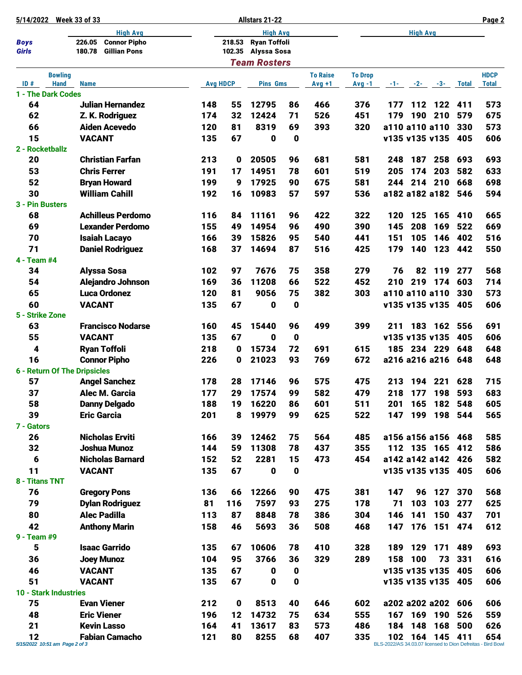| 5/14/2022       | <b>Week 33 of 33</b>                             |     |                 | Allstars 21-22      |             |                 |                | Page 2 |         |                     |              |                                                             |
|-----------------|--------------------------------------------------|-----|-----------------|---------------------|-------------|-----------------|----------------|--------|---------|---------------------|--------------|-------------------------------------------------------------|
|                 | <b>High Avg</b>                                  |     |                 |                     |             | <b>High Avg</b> |                |        |         |                     |              |                                                             |
| <b>Boys</b>     | <b>Connor Pipho</b><br>226.05                    |     | 218.53          | <b>Ryan Toffoli</b> |             |                 |                |        |         |                     |              |                                                             |
| Girls           | 180.78<br><b>Gillian Pons</b>                    |     |                 | 102.35 Alyssa Sosa  |             |                 |                |        |         |                     |              |                                                             |
|                 |                                                  |     |                 | <b>Team Rosters</b> |             |                 |                |        |         |                     |              |                                                             |
|                 | <b>Bowling</b>                                   |     |                 |                     |             | <b>To Raise</b> | <b>To Drop</b> |        |         |                     |              | <b>HDCP</b>                                                 |
| ID#             | <b>Hand</b><br><b>Name</b><br>1 - The Dark Codes |     | <b>Avg HDCP</b> | <b>Pins Gms</b>     |             | $Avg +1$        | $Avg -1$       |        |         | $-1$ $-2$ $-3$ $-3$ | <b>Total</b> | <b>Total</b>                                                |
| 64              | Julian Hernandez                                 | 148 | 55              | 12795               | 86          | 466             | 376            | 177    |         | 112 122             | 411          | 573                                                         |
| 62              | Z. K. Rodriguez                                  | 174 | 32              | 12424               | 71          | 526             | 451            | 179    | 190     | 210                 | 579          | 675                                                         |
| 66              | <b>Aiden Acevedo</b>                             | 120 | 81              | 8319                | 69          | 393             | 320            |        |         | a110 a110 a110      | 330          | 573                                                         |
| 15              | <b>VACANT</b>                                    | 135 | 67              | 0                   | 0           |                 |                |        |         | v135 v135 v135      | 405          | 606                                                         |
| 2 - Rocketballz |                                                  |     |                 |                     |             |                 |                |        |         |                     |              |                                                             |
| 20              | <b>Christian Farfan</b>                          | 213 | 0               | 20505               | 96          | 681             | 581            | 248    | 187     | 258                 | 693          | 693                                                         |
| 53              | <b>Chris Ferrer</b>                              | 191 | 17              | 14951               | 78          | 601             | 519            | 205    | 174     | 203                 | 582          | 633                                                         |
| 52              | <b>Bryan Howard</b>                              | 199 | 9               | 17925               | 90          | 675             | 581            | 244    | 214     | 210                 | 668          | 698                                                         |
| 30              | <b>William Cahill</b>                            | 192 | 16              | 10983               | 57          | 597             | 536            |        |         | a182 a182 a182      | 546          | 594                                                         |
| 3 - Pin Busters |                                                  |     |                 |                     |             |                 |                |        |         |                     |              |                                                             |
| 68              | <b>Achilleus Perdomo</b>                         | 116 | 84              | 11161               | 96          | 422             | 322            | 120    | 125     | 165                 | 410          | 665                                                         |
| 69              | <b>Lexander Perdomo</b>                          | 155 | 49              | 14954               | 96          | 490             | 390            | 145    | 208     | 169                 | 522          | 669                                                         |
| 70              | <b>Isaiah Lacayo</b>                             | 166 | 39              | 15826               | 95          | 540             | 441            | 151    | 105     | 146                 | 402          | 516                                                         |
| 71              | <b>Daniel Rodriguez</b>                          | 168 | 37              | 14694               | 87          | 516             | 425            | 179    | 140     | 123                 | 442          | 550                                                         |
| 4 - Team #4     |                                                  |     |                 |                     |             |                 |                |        |         |                     |              |                                                             |
| 34              | <b>Alyssa Sosa</b>                               | 102 | 97              | 7676                | 75          | 358             | 279            | 76     | 82      | 119                 | 277          | 568                                                         |
| 54              | Alejandro Johnson                                | 169 | 36              | 11208               | 66          | 522             | 452            | 210    | 219     | 174                 | 603          | 714                                                         |
| 65              | <b>Luca Ordonez</b>                              | 120 | 81              | 9056                | 75          | 382             | 303            |        |         | a110 a110 a110      | 330          | 573                                                         |
| 60              | <b>VACANT</b>                                    | 135 | 67              | 0                   | 0           |                 |                |        |         | v135 v135 v135      | 405          | 606                                                         |
| 5 - Strike Zone |                                                  |     |                 |                     |             |                 |                |        |         |                     |              |                                                             |
| 63              | <b>Francisco Nodarse</b>                         | 160 | 45              | 15440               | 96          | 499             | 399            | 211    | 183     | 162                 | 556          | 691                                                         |
| 55              | <b>VACANT</b>                                    | 135 | 67              | 0                   | $\mathbf 0$ |                 |                |        |         | v135 v135 v135      | 405          | 606                                                         |
| 4               | <b>Ryan Toffoli</b>                              | 218 | 0               | 15734               | 72          | 691             | 615            | 185    |         | 234 229             | 648          | 648                                                         |
| 16              | <b>Connor Pipho</b>                              | 226 | 0               | 21023               | 93          | 769             | 672            |        |         | a216 a216 a216      | 648          | 648                                                         |
|                 | 6 - Return Of The Dripsicles                     |     |                 |                     |             |                 |                |        |         |                     |              |                                                             |
| 57              | <b>Angel Sanchez</b>                             | 178 | 28              | 17146               | 96          | 575             | 475            | 213    | 194     | 221                 | 628          | 715                                                         |
| 37              | Alec M. Garcia                                   | 177 | 29              | 17574               | 99          | 582             | 479            | 218    | 177     | 198                 | 593          | 683                                                         |
| 58              | <b>Danny Delgado</b>                             | 188 | 19              | 16220               | 86          | 601             | 511            | 201    | 165     |                     | 182 548      | 605                                                         |
| 39              | <b>Eric Garcia</b>                               | 201 | 8               | 19979               | 99          | 625             | 522            | 147    |         | 199 198 544         |              | 565                                                         |
| 7 - Gators      |                                                  |     |                 |                     |             |                 |                |        |         |                     |              |                                                             |
| 26              | <b>Nicholas Erviti</b>                           | 166 | 39              | 12462               | 75          | 564             | 485            |        |         | a156 a156 a156      | 468          | 585                                                         |
| 32              | Joshua Munoz                                     | 144 | 59              | 11308               | 78          | 437             | 355            |        |         | 112 135 165 412     |              | 586                                                         |
| $6\phantom{1}6$ | <b>Nicholas Barnard</b>                          | 152 | 52              | 2281                | 15          | 473             | 454            |        |         | a142 a142 a142 426  |              | 582                                                         |
| 11              | <b>VACANT</b>                                    | 135 | 67              | 0                   | $\pmb{0}$   |                 |                |        |         | v135 v135 v135 405  |              | 606                                                         |
| 8 - Titans TNT  |                                                  |     |                 |                     |             |                 |                |        |         |                     |              |                                                             |
| 76              | <b>Gregory Pons</b>                              | 136 | 66              | 12266               | 90          | 475             | 381            | 147    | 96      | 127                 | 370          | 568                                                         |
| 79              | <b>Dylan Rodriguez</b>                           | 81  | 116             | 7597                | 93          | 275             | 178            | 71     | 103     | 103                 | 277          | 625                                                         |
| 80              | <b>Alec Padilla</b>                              | 113 | 87              | 8848                | 78          | 386             | 304            | 146    | 141     |                     | 150 437      | 701                                                         |
| 42              | <b>Anthony Marin</b>                             | 158 | 46              | 5693                | 36          | 508             | 468            | 147    |         | 176 151 474         |              | 612                                                         |
| 9 - Team #9     |                                                  |     |                 |                     |             |                 |                |        |         |                     |              |                                                             |
| 5               | <b>Isaac Garrido</b>                             | 135 | 67              | 10606               | 78          | 410             | 328            | 189    | 129     | 171                 | 489          | 693                                                         |
| 36              | <b>Joey Munoz</b>                                | 104 | 95              | 3766                | 36          | 329             | 289            | 158    | 100     | 73                  | 331          | 616                                                         |
| 46              | <b>VACANT</b>                                    | 135 | 67              | 0                   | $\mathbf 0$ |                 |                |        |         | v135 v135 v135      | 405          | 606                                                         |
| 51              | <b>VACANT</b>                                    | 135 | 67              | $\mathbf 0$         | $\mathbf 0$ |                 |                |        |         | v135 v135 v135 405  |              | 606                                                         |
|                 | 10 - Stark Industries                            |     |                 |                     |             |                 |                |        |         |                     |              |                                                             |
| 75              | <b>Evan Viener</b>                               | 212 | $\mathbf 0$     | 8513                | 40          | 646             | 602            |        |         | a202 a202 a202      | 606          | 606                                                         |
| 48              | <b>Eric Viener</b>                               | 196 | 12              | 14732               | 75          | 634             | 555            | 167    |         | 169 190             | 526          | 559                                                         |
| 21              | <b>Kevin Lasso</b>                               | 164 | 41              | 13617               | 83          | 573             | 486            | 184    | 148     | 168                 | 500          | 626                                                         |
| 12              | <b>Fabian Camacho</b>                            | 121 | 80              | 8255                | 68          | 407             | 335            |        | 102 164 | 145 411             |              | 654                                                         |
|                 | 5/15/2022 10:51 am Page 2 of 3                   |     |                 |                     |             |                 |                |        |         |                     |              | BLS-2022/AS 34.03.07 licensed to Dion Defreitas - Bird Bowl |